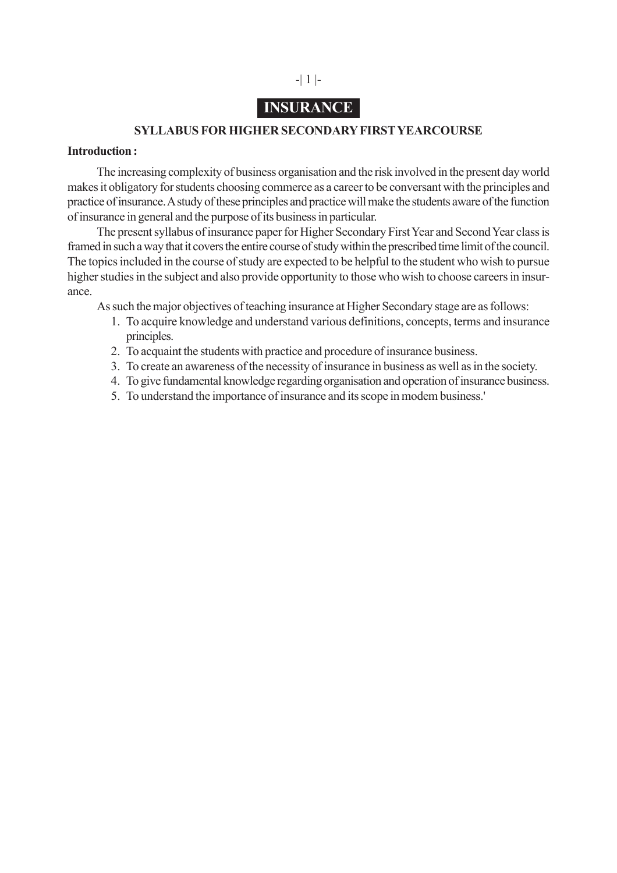# -| 1 |-

# **INSURANCE**

#### **SYLLABUS FOR HIGHER SECONDARY FIRST YEARCOURSE**

#### **Introduction :**

The increasing complexity of business organisation and the risk involved in the present day world makes it obligatory for students choosing commerce as a career to be conversant with the principles and practice of insurance. A study of these principles and practice will make the students aware of the function of insurance in general and the purpose of its business in particular.

The present syllabus of insurance paper for Higher Secondary First Year and Second Year class is framed in such a way that it covers the entire course of study within the prescribed time limit of the council. The topics included in the course of study are expected to be helpful to the student who wish to pursue higher studies in the subject and also provide opportunity to those who wish to choose careers in insurance.

As such the major objectives of teaching insurance at Higher Secondary stage are as follows:

- 1. To acquire knowledge and understand various definitions, concepts, terms and insurance principles.
- 2. To acquaint the students with practice and procedure of insurance business.
- 3. To create an awareness of the necessity of insurance in business as well as in the society.
- 4. To give fundamental knowledge regarding organisation and operation of insurance business.
- 5. To understand the importance of insurance and its scope in modem business.'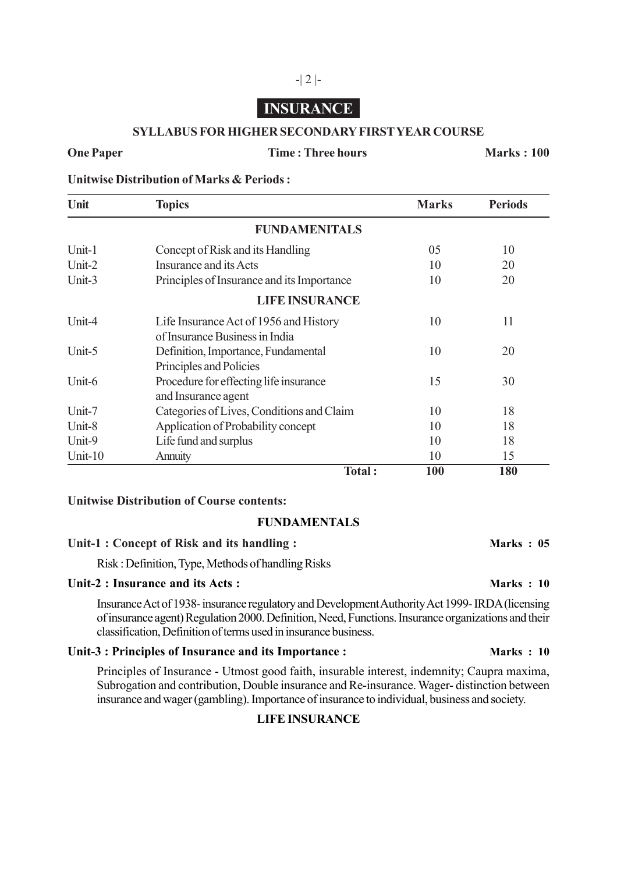## **INSURANCE**

-| 2 |-

#### **SYLLABUS FOR HIGHER SECONDARY FIRST YEAR COURSE**

#### **One Paper Time : Three hours Marks : 100**

**Unitwise Distribution of Marks & Periods :**

| Unit    | <b>Topics</b>                                                            | <b>Marks</b> | <b>Periods</b> |
|---------|--------------------------------------------------------------------------|--------------|----------------|
|         | <b>FUNDAMENITALS</b>                                                     |              |                |
| Unit-1  | Concept of Risk and its Handling                                         | 05           | 10             |
| Unit-2  | Insurance and its Acts                                                   | 10           | 20             |
| Unit-3  | Principles of Insurance and its Importance                               | 10           | 20             |
|         | <b>LIFE INSURANCE</b>                                                    |              |                |
| Unit-4  | Life Insurance Act of 1956 and History<br>of Insurance Business in India | 10           | 11             |
| Unit-5  | Definition, Importance, Fundamental<br>Principles and Policies           | 10           | 20             |
| Unit-6  | Procedure for effecting life insurance<br>and Insurance agent            | 15           | 30             |
| Unit-7  | Categories of Lives, Conditions and Claim                                | 10           | 18             |
| Unit-8  | Application of Probability concept                                       | 10           | 18             |
| Unit-9  | Life fund and surplus                                                    | 10           | 18             |
| Unit-10 | Annuity                                                                  | 10           | 15             |
|         | Total:                                                                   | 100          | 180            |

#### **Unitwise Distribution of Course contents:**

### **FUNDAMENTALS**

#### Unit-1 : Concept of Risk and its handling : **Marks : 05**

Risk : Definition, Type, Methods of handling Risks

### Unit-2 : Insurance and its Acts : **Marks** : 10

Insurance Act of 1938- insurance regulatory and Development Authority Act 1999- IRDA (licensing of insurance agent) Regulation 2000. Definition, Need, Functions. Insurance organizations and their classification, Definition of terms used in insurance business.

#### Unit-3 : Principles of Insurance and its Importance : **Marks : 10**

Principles of Insurance - Utmost good faith, insurable interest, indemnity; Caupra maxima, Subrogation and contribution, Double insurance and Re-insurance. Wager- distinction between insurance and wager (gambling). Importance of insurance to individual, business and society.

#### **LIFE INSURANCE**